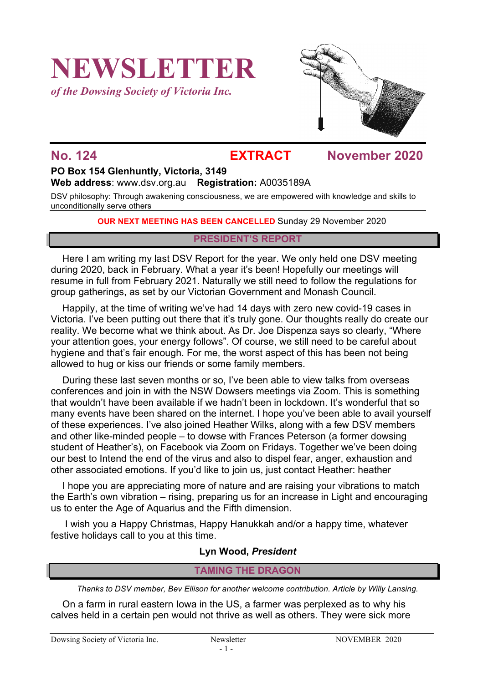# **NEWSLETTER**

*of the Dowsing Society of Victoria Inc.*



## **No. 124 EXTRACT November 2020**

# **PO Box 154 Glenhuntly, Victoria, 3149**

**Web address**: www.dsv.org.au **Registration:** A0035189A

DSV philosophy: Through awakening consciousness, we are empowered with knowledge and skills to unconditionally serve others

#### **OUR NEXT MEETING HAS BEEN CANCELLED** Sunday 29 November 2020

#### **PRESIDENT'S REPORT**

Here I am writing my last DSV Report for the year. We only held one DSV meeting during 2020, back in February. What a year it's been! Hopefully our meetings will resume in full from February 2021. Naturally we still need to follow the regulations for group gatherings, as set by our Victorian Government and Monash Council.

Happily, at the time of writing we've had 14 days with zero new covid-19 cases in Victoria. I've been putting out there that it's truly gone. Our thoughts really do create our reality. We become what we think about. As Dr. Joe Dispenza says so clearly, "Where your attention goes, your energy follows". Of course, we still need to be careful about hygiene and that's fair enough. For me, the worst aspect of this has been not being allowed to hug or kiss our friends or some family members.

During these last seven months or so, I've been able to view talks from overseas conferences and join in with the NSW Dowsers meetings via Zoom. This is something that wouldn't have been available if we hadn't been in lockdown. It's wonderful that so many events have been shared on the internet. I hope you've been able to avail yourself of these experiences. I've also joined Heather Wilks, along with a few DSV members and other like-minded people – to dowse with Frances Peterson (a former dowsing student of Heather's), on Facebook via Zoom on Fridays. Together we've been doing our best to Intend the end of the virus and also to dispel fear, anger, exhaustion and other associated emotions. If you'd like to join us, just contact Heather: heather

I hope you are appreciating more of nature and are raising your vibrations to match the Earth's own vibration – rising, preparing us for an increase in Light and encouraging us to enter the Age of Aquarius and the Fifth dimension.

I wish you a Happy Christmas, Happy Hanukkah and/or a happy time, whatever festive holidays call to you at this time.

### **Lyn Wood,** *President*

## **TAMING THE DRAGON**

*Thanks to DSV member, Bev Ellison for another welcome contribution. Article by Willy Lansing.*

On a farm in rural eastern Iowa in the US, a farmer was perplexed as to why his calves held in a certain pen would not thrive as well as others. They were sick more

Dowsing Society of Victoria Inc. Newsletter NOVEMBER 2020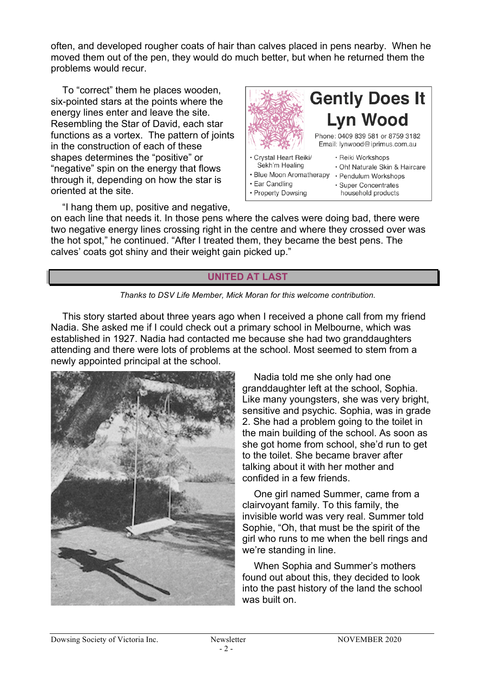often, and developed rougher coats of hair than calves placed in pens nearby. When he moved them out of the pen, they would do much better, but when he returned them the problems would recur.

To "correct" them he places wooden, six-pointed stars at the points where the energy lines enter and leave the site. Resembling the Star of David, each star functions as a vortex. The pattern of joints in the construction of each of these shapes determines the "positive" or "negative" spin on the energy that flows through it, depending on how the star is oriented at the site.



"I hang them up, positive and negative,

on each line that needs it. In those pens where the calves were doing bad, there were two negative energy lines crossing right in the centre and where they crossed over was the hot spot," he continued. "After I treated them, they became the best pens. The calves' coats got shiny and their weight gain picked up."

#### **UNITED AT LAST**



This story started about three years ago when I received a phone call from my friend Nadia. She asked me if I could check out a primary school in Melbourne, which was established in 1927. Nadia had contacted me because she had two granddaughters attending and there were lots of problems at the school. Most seemed to stem from a newly appointed principal at the school.



Nadia told me she only had one granddaughter left at the school, Sophia. Like many youngsters, she was very bright, sensitive and psychic. Sophia, was in grade 2. She had a problem going to the toilet in the main building of the school. As soon as she got home from school, she'd run to get to the toilet. She became braver after talking about it with her mother and confided in a few friends.

One girl named Summer, came from a clairvoyant family. To this family, the invisible world was very real. Summer told Sophie, "Oh, that must be the spirit of the girl who runs to me when the bell rings and we're standing in line.

When Sophia and Summer's mothers found out about this, they decided to look into the past history of the land the school was built on.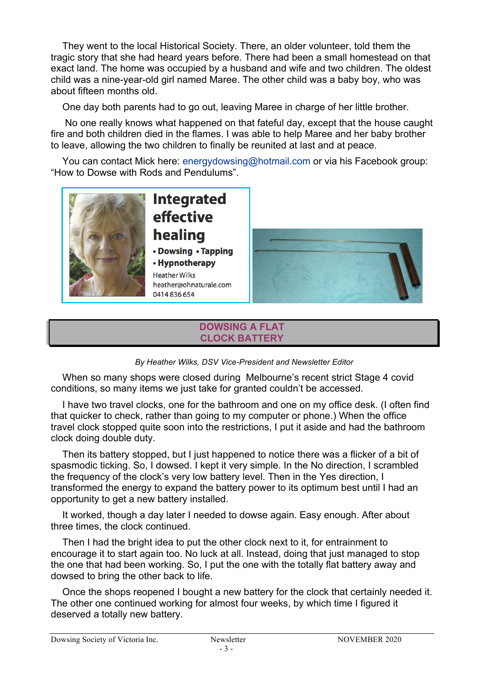They went to the local Historical Society. There, an older volunteer, told them the tragic story that she had heard years before. There had been a small homestead on that exact land. The home was occupied by a husband and wife and two children. The oldest child was a nine-year-old girl named Maree. The other child was a baby boy, who was about fifteen months old.

One day both parents had to go out, leaving Maree in charge of her little brother.

No one really knows what happened on that fateful day, except that the house caught fire and both children died in the flames. I was able to help Maree and her baby brother to leave, allowing the two children to finally be reunited at last and at peace.

You can contact Mick here: energydowsing@hotmail.com or via his Facebook group: "How to Dowse with Rods and Pendulums".



### **DOWSING A FLAT CLOCK BATTERY**



When so many shops were closed during Melbourne's recent strict Stage 4 covid conditions, so many items we just take for granted couldn't be accessed.

I have two travel clocks, one for the bathroom and one on my office desk. (I often find that quicker to check, rather than going to my computer or phone.) When the office travel clock stopped quite soon into the restrictions, I put it aside and had the bathroom clock doing double duty.

Then its battery stopped, but I just happened to notice there was a flicker of a bit of spasmodic ticking. So, I dowsed. I kept it very simple. In the No direction, I scrambled the frequency of the clock's very low battery level. Then in the Yes direction, I transformed the energy to expand the battery power to its optimum best until I had an opportunity to get a new battery installed.

It worked, though a day later I needed to dowse again. Easy enough. After about three times, the clock continued.

Then I had the bright idea to put the other clock next to it, for entrainment to encourage it to start again too. No luck at all. Instead, doing that just managed to stop the one that had been working. So, I put the one with the totally flat battery away and dowsed to bring the other back to life.

Once the shops reopened I bought a new battery for the clock that certainly needed it. The other one continued working for almost four weeks, by which time I figured it deserved a totally new battery.